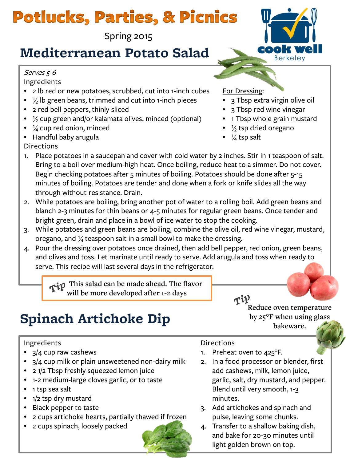# **Potlucks, Parties, & Picnics**

Spring 2015

### **Mediterranean Potato Salad**

### Serves 5-6

Ingredients

- 2 lb red or new potatoes, scrubbed, cut into 1-inch cubes
- $\frac{1}{2}$  lb green beans, trimmed and cut into 1-inch pieces
- 2 red bell peppers, thinly sliced
- $\frac{1}{2}$  cup green and/or kalamata olives, minced (optional)
- $\frac{1}{4}$  cup red onion, minced
- Handful baby arugula

### **Directions**

- 1. Place potatoes in a saucepan and cover with cold water by 2 inches. Stir in 1 teaspoon of salt. Bring to a boil over medium-high heat. Once boiling, reduce heat to a simmer. Do not cover. Begin checking potatoes after 5 minutes of boiling. Potatoes should be done after 5-15 minutes of boiling. Potatoes are tender and done when a fork or knife slides all the way through without resistance. Drain.
- 2. While potatoes are boiling, bring another pot of water to a rolling boil. Add green beans and blanch 2-3 minutes for thin beans or 4-5 minutes for regular green beans. Once tender and bright green, drain and place in a bowl of ice water to stop the cooking.
- 3. While potatoes and green beans are boiling, combine the olive oil, red wine vinegar, mustard, oregano, and  $\frac{1}{4}$  teaspoon salt in a small bowl to make the dressing.
- 4. Pour the dressing over potatoes once drained, then add bell pepper, red onion, green beans, and olives and toss. Let marinate until ready to serve. Add arugula and toss when ready to serve. This recipe will last several days in the refrigerator.

 **This salad can be made ahead. The flavor will be more developed after 1-2 days**

## **Spinach Artichoke Dip**

### Ingredients

- 3/4 cup raw cashews
- 3/4 cup milk or plain unsweetened non-dairy milk
- 2 1/2 Tbsp freshly squeezed lemon juice
- 1-2 medium-large cloves garlic, or to taste
- 1 tsp sea salt
- 1/2 tsp dry mustard
- Black pepper to taste
- 2 cups artichoke hearts, partially thawed if frozen
- 2 cups spinach, loosely packed



1. Preheat oven to 425°F.

 $\tau \mathfrak{P}$ 

2. In a food processor or blender, first add cashews, milk, lemon juice, garlic, salt, dry mustard, and pepper. Blend until very smooth, 1-3 minutes.

**Reduce oven temperature by 25°F when using glass bakeware.**

- 3. Add artichokes and spinach and pulse, leaving some chunks.
- 4. Transfer to a shallow baking dish, and bake for 20-30 minutes until light golden brown on top.



- 3 Tbsp extra virgin olive oil
- 3 Tbsp red wine vinegar
- 1 Tbsp whole grain mustard
- $\frac{1}{2}$  tsp dried oregano
- $\frac{1}{4}$  tsp salt